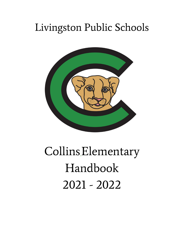# Livingston Public Schools



# CollinsElementary Handbook 2021 - 2022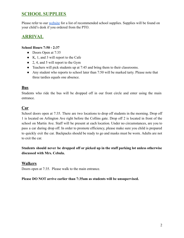### **SCHOOL SUPPLIES**

Please refer to our [website](https://www.livingston.org/collins) for a list of recommended school supplies. Supplies will be found on your child's desk if you ordered from the PTO.

# **ARRIVAL**

#### **School Hours 7:50 - 2:37**

- Doors Open at 7:35
- K, 1, and 3 will report to the Cafe
- 2, 4, and 5 will report to the Gym
- Teachers will pick students up at 7:45 and bring them to their classrooms.
- Any student who reports to school later than 7:50 will be marked tarty. Please note that three tardies equals one absence.

#### **Bus**

Students who ride the bus will be dropped off in our front circle and enter using the main entrance.

#### **Car**

School doors open at 7:35. There are two locations to drop off students in the morning. Drop off 1 is located on Arlington Ave right before the Collins gate. Drop off 2 is located in front of the school on Martin Ave. Staff will be present at each location. Under no circumstances, are you to pass a car during drop off. In order to promote efficiency, please make sure you child is prepared to quickly exit the car. Backpacks should be ready to go and masks must be worn. Adults are not to exit the car.

**Students should never be dropped off or picked up in the staff parking lot unless otherwise discussed with Mrs. Cebula.**

#### **Walkers**

Doors open at 7:35. Please walk to the main entrance.

#### **Please DO NOT arrive earlier than 7:35am as students will be unsupervised.**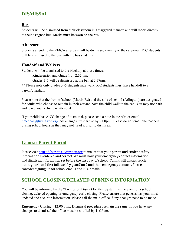# **DISMISSAL**

#### **Bus**

Students will be dismissed from their classroom in a staggered manner, and will report directly to their assigned bus. Masks must be worn on the bus.

#### **Aftercare**

Students attending the YMCA aftercare will be dismissed directly to the cafeteria. JCC students will be dismissed to the bus with the bus students.

#### **Handoff and Walkers**

Students will be dismissed to the blacktop at these times.

Kindergarten and Grade 1 at 2:32 pm.

Grades 2-5 will be dismissed at the bell at 2:37pm.

\*\* Please note only grades 3 -5 students may walk. K-2 students must have handoff to a parent/guardian.

Please note that the front of school (Martin Rd) and the side of school (Arlington) are designated for adults who choose to remain in their car and have the child walk to the car. You may not park and leave your vehicle unattended.

If your child has ANY change of dismissal, please send a note in the AM or email [nmeehan@livingston.org](mailto:nmeehan@livingston.org). All changes must arrive by 2:00pm. Please do not email the teachers during school hours as they may not read it prior to dismissal.

# **Genesis Parent Portal**

Please visit [https://parents.livingston.org](https://parents.livingston.org/) to insure that your parent and student safety information is entered and correct. We must have your emergency contact information and dismissal information set before the first day of school. Collins will always reach out to guardian 1 first followed by guardian 2 and then emergency contacts. Please consider signing up for school emails and PTO emails.

# **SCHOOL CLOSING/DELAYED OPENING INFORMATION**

You will be informed by the "Livingston District E-Blast System" in the event of a school closing, delayed opening or emergency early closing. Please ensure that genesis has your most updated and accurate information. Please call the main office if any changes need to be made.

**Emergency Closing -** 12:00 p.m.: Dismissal procedures remain the same; If you have any changes to dismissal the office must be notified by 11:35am.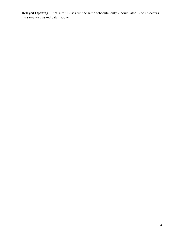**Delayed Opening** – 9:50 a.m.: Buses run the same schedule, only 2 hours later. Line up occurs the same way as indicated above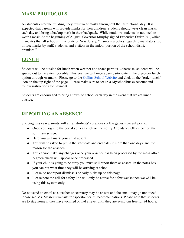# **MASK PROTOCOLS**

As students enter the building, they must wear masks throughout the instructional day. It is expected that parents will provide masks for their children. Students should wear clean masks each day and bring a backup mask in their backpack. While outdoors students do not need to wear a mask. At the beginning of August, Governor Murphy signed Executive Order 251, which mandates that all schools in the State of New Jersey, "maintain a policy regarding mandatory use of face masks by staff, students, and visitors in the indoor portion of the school district premises."

# **LUNCH**

Students will be outside for lunch when weather and space permits. Otherwise, students will be spaced out to the extent possible. This year we will once again participate in the pre-order lunch option through Aramark. Please go to the Collins [School Website](https://www.livingston.org/collins) and click on the "order lunch" icon on the top right of the page. Please make sure to set up a Myschoolbucks account and follow instructions for payment.

Students are encouraged to bring a towel to school each day in the event that we eat lunch outside.

# **REPORTING AN ABSENCE**

Starting this year parents will enter students' absences via the genesis parent portal.

- Once you log into the portal you can click on the notify Attendance Office box on the summary screen.
- Here you will mark your child absent.
- You will be asked to put in the start date and end date (if more than one day), and the reason for the absence.
- You cannot make any changes once your absence has been processed by the main office. A green check will appear once processed.
- If your child is going to be tardy you must still report them as absent. In the notes box you can put what time they will be arriving at school.
- Please do not report dismissals or early picks up on this page.
- Please note the call for safety line will only be active for a few weeks then we will be using this system only.

Do not send an email as a teacher or secretary may be absent and the email may go unnoticed. Please see Ms. Messer's website for specific health recommendations. Please note that students are to stay home if they have vomited or had a fever until they are symptom free for 24 hours.